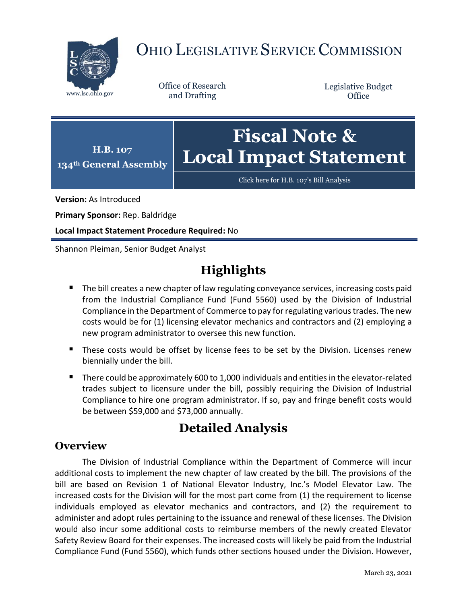

# OHIO LEGISLATIVE SERVICE COMMISSION

Office of Research

Legislative Budget **Office** 

**134th General Assembly Fiscal Note & Local Impact Statement**

[Click here for H.B. 107](https://www.legislature.ohio.gov/legislation/legislation-documents?id=GA134-HB-107)'s Bill Analysis

**Version:** As Introduced

**Primary Sponsor:** Rep. Baldridge

**H.B. 107**

**Local Impact Statement Procedure Required:** No

Shannon Pleiman, Senior Budget Analyst

## **Highlights**

- The bill creates a new chapter of law regulating conveyance services, increasing costs paid from the Industrial Compliance Fund (Fund 5560) used by the Division of Industrial Compliance in the Department of Commerce to pay for regulating various trades. The new costs would be for (1) licensing elevator mechanics and contractors and (2) employing a new program administrator to oversee this new function.
- These costs would be offset by license fees to be set by the Division. Licenses renew biennially under the bill.
- There could be approximately 600 to 1,000 individuals and entities in the elevator-related trades subject to licensure under the bill, possibly requiring the Division of Industrial Compliance to hire one program administrator. If so, pay and fringe benefit costs would be between \$59,000 and \$73,000 annually.

### **Detailed Analysis**

#### **Overview**

The Division of Industrial Compliance within the Department of Commerce will incur additional costs to implement the new chapter of law created by the bill. The provisions of the bill are based on Revision 1 of National Elevator Industry, Inc.'s Model Elevator Law. The increased costs for the Division will for the most part come from (1) the requirement to license individuals employed as elevator mechanics and contractors, and (2) the requirement to administer and adopt rules pertaining to the issuance and renewal of these licenses. The Division would also incur some additional costs to reimburse members of the newly created Elevator Safety Review Board for their expenses. The increased costs will likely be paid from the Industrial Compliance Fund (Fund 5560), which funds other sections housed under the Division. However,